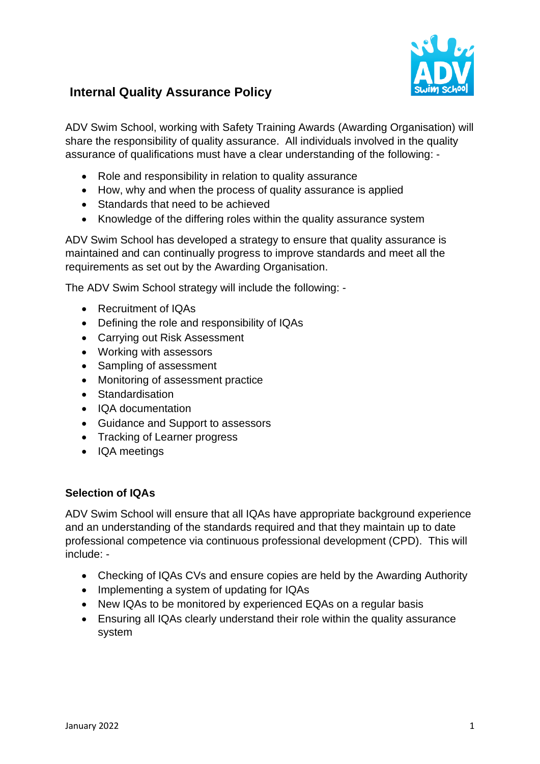

# **Internal Quality Assurance Policy**

ADV Swim School, working with Safety Training Awards (Awarding Organisation) will share the responsibility of quality assurance. All individuals involved in the quality assurance of qualifications must have a clear understanding of the following: -

- Role and responsibility in relation to quality assurance
- How, why and when the process of quality assurance is applied
- Standards that need to be achieved
- Knowledge of the differing roles within the quality assurance system

ADV Swim School has developed a strategy to ensure that quality assurance is maintained and can continually progress to improve standards and meet all the requirements as set out by the Awarding Organisation.

The ADV Swim School strategy will include the following: -

- Recruitment of IQAs
- Defining the role and responsibility of IQAs
- Carrying out Risk Assessment
- Working with assessors
- Sampling of assessment
- Monitoring of assessment practice
- Standardisation
- IQA documentation
- Guidance and Support to assessors
- Tracking of Learner progress
- IQA meetings

#### **Selection of IQAs**

ADV Swim School will ensure that all IQAs have appropriate background experience and an understanding of the standards required and that they maintain up to date professional competence via continuous professional development (CPD). This will include: -

- Checking of IQAs CVs and ensure copies are held by the Awarding Authority
- Implementing a system of updating for IQAs
- New IQAs to be monitored by experienced EQAs on a regular basis
- Ensuring all IQAs clearly understand their role within the quality assurance system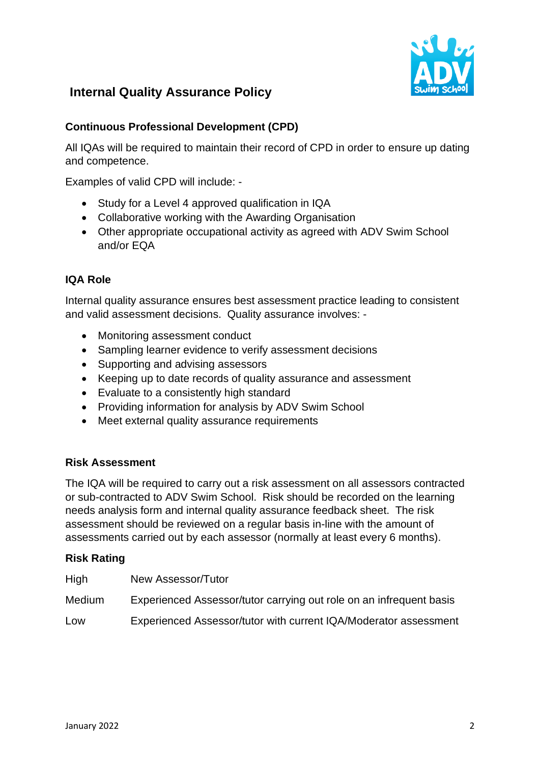

# **Internal Quality Assurance Policy**

## **Continuous Professional Development (CPD)**

All IQAs will be required to maintain their record of CPD in order to ensure up dating and competence.

Examples of valid CPD will include: -

- Study for a Level 4 approved qualification in IQA
- Collaborative working with the Awarding Organisation
- Other appropriate occupational activity as agreed with ADV Swim School and/or EQA

## **IQA Role**

Internal quality assurance ensures best assessment practice leading to consistent and valid assessment decisions. Quality assurance involves: -

- Monitoring assessment conduct
- Sampling learner evidence to verify assessment decisions
- Supporting and advising assessors
- Keeping up to date records of quality assurance and assessment
- Evaluate to a consistently high standard
- Providing information for analysis by ADV Swim School
- Meet external quality assurance requirements

### **Risk Assessment**

The IQA will be required to carry out a risk assessment on all assessors contracted or sub-contracted to ADV Swim School. Risk should be recorded on the learning needs analysis form and internal quality assurance feedback sheet. The risk assessment should be reviewed on a regular basis in-line with the amount of assessments carried out by each assessor (normally at least every 6 months).

### **Risk Rating**

| High   | New Assessor/Tutor                                                  |
|--------|---------------------------------------------------------------------|
| Medium | Experienced Assessor/tutor carrying out role on an infrequent basis |
| Low    | Experienced Assessor/tutor with current IQA/Moderator assessment    |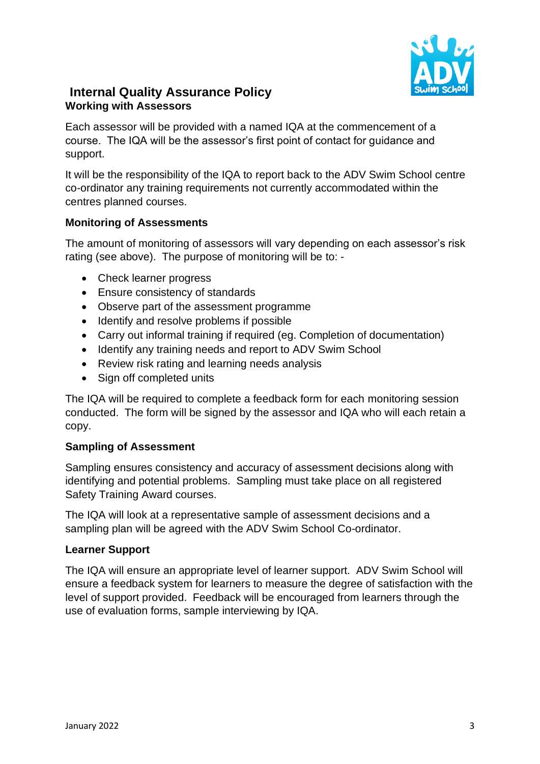

# **Internal Quality Assurance Policy Working with Assessors**

Each assessor will be provided with a named IQA at the commencement of a course. The IQA will be the assessor's first point of contact for guidance and support.

It will be the responsibility of the IQA to report back to the ADV Swim School centre co-ordinator any training requirements not currently accommodated within the centres planned courses.

## **Monitoring of Assessments**

The amount of monitoring of assessors will vary depending on each assessor's risk rating (see above). The purpose of monitoring will be to: -

- Check learner progress
- Ensure consistency of standards
- Observe part of the assessment programme
- Identify and resolve problems if possible
- Carry out informal training if required (eg. Completion of documentation)
- Identify any training needs and report to ADV Swim School
- Review risk rating and learning needs analysis
- Sign off completed units

The IQA will be required to complete a feedback form for each monitoring session conducted. The form will be signed by the assessor and IQA who will each retain a copy.

### **Sampling of Assessment**

Sampling ensures consistency and accuracy of assessment decisions along with identifying and potential problems. Sampling must take place on all registered Safety Training Award courses.

The IQA will look at a representative sample of assessment decisions and a sampling plan will be agreed with the ADV Swim School Co-ordinator.

### **Learner Support**

The IQA will ensure an appropriate level of learner support. ADV Swim School will ensure a feedback system for learners to measure the degree of satisfaction with the level of support provided. Feedback will be encouraged from learners through the use of evaluation forms, sample interviewing by IQA.